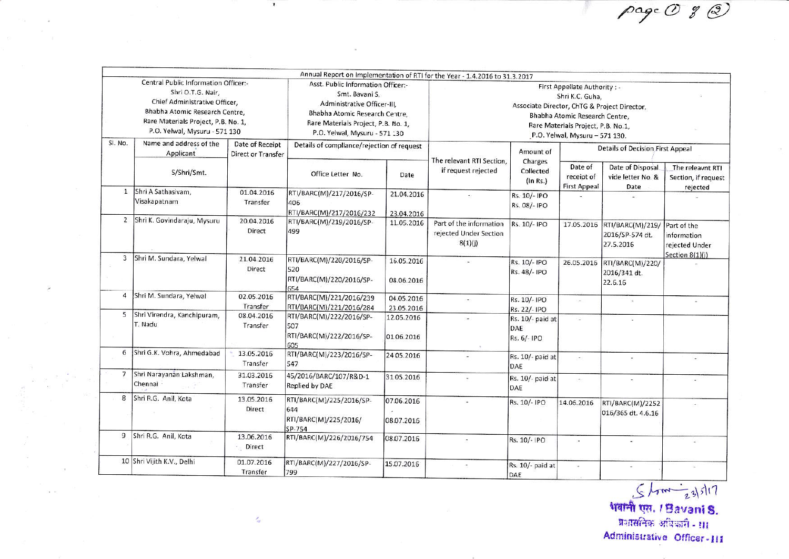page O g 2

|                                                                                                                                                                                                      |                                        |                                              |                                                                                                                                                                                               |                          | Annual Report on Implementation of RTI for the Year - 1.4.2016 to 31.3.2017                                                                                                                                |                                        |                                              |                                                  |                                                     |
|------------------------------------------------------------------------------------------------------------------------------------------------------------------------------------------------------|----------------------------------------|----------------------------------------------|-----------------------------------------------------------------------------------------------------------------------------------------------------------------------------------------------|--------------------------|------------------------------------------------------------------------------------------------------------------------------------------------------------------------------------------------------------|----------------------------------------|----------------------------------------------|--------------------------------------------------|-----------------------------------------------------|
| Central Public Information Officer:-<br>Shri O.T.G. Nair,<br>Chief Administrative Officer,<br>Bhabha Atomic Research Centre.<br>Rare Materials Project, P.B. No. 1,<br>P.O. Yelwal, Mysuru - 571 130 |                                        |                                              | Asst. Public Information Officer:-<br>Smt. Bavani S,<br>Administrative Officer-III.<br>Bhabha Atomic Research Centre,<br>Rare Materials Project, P.B. No. 1,<br>P.O. Yelwal, Mysuru - 571 130 |                          | First Appellate Authority : -<br>Shri K.C. Guha,<br>Associate Director, ChTG & Project Director,<br>Bhabha Atomic Research Centre,<br>Rare Materials Project, P.B. No.1,<br>P.O. Yelwal, Mysuru - 571 130. |                                        |                                              |                                                  |                                                     |
| SI. No.                                                                                                                                                                                              | Name and address of the<br>Applicant   | Date of Receipt<br><b>Direct or Transfer</b> | Details of compliance/rejection of request                                                                                                                                                    |                          | The relevant RTI Section,                                                                                                                                                                                  | Amount of<br>Charges                   | <b>Details of Decision First Appeal</b>      |                                                  |                                                     |
|                                                                                                                                                                                                      | S/Shri/Smt.                            |                                              | Office Letter No.                                                                                                                                                                             | Date                     | if request rejected                                                                                                                                                                                        | Collected<br>(ln Rs.)                  | Date of<br>receipt of<br><b>First Appeal</b> | Date of Disposal<br>vide letter No. &<br>Date    | The releavnt RTI<br>Section, if request<br>rejected |
| $\mathbf{1}$                                                                                                                                                                                         | Shri A Sathasivam,<br>Visakapatnam     | 01.04.2016<br>Transfer                       | RTI/BARC(M)/217/2016/SP-<br>406<br>RTI/BARC(M)/217/2016/232                                                                                                                                   | 21.04.2016<br>28.04.2016 |                                                                                                                                                                                                            | Rs. 10/- IPO<br>Rs. 08/- IPO           |                                              | Sir.                                             |                                                     |
| $\overline{2}$                                                                                                                                                                                       | Shri K. Govindaraju, Mysuru            | 20.04.2016<br>Direct                         | RTI/BARC(M)/219/2016/SP-<br>499                                                                                                                                                               | 11.05.2016               | Part of the information<br>rejected Under Section<br>8(1)(j)                                                                                                                                               | Rs. 10/- IPO                           | 17.05.2016                                   | RTI/BARC(M)/219/<br>2016/SP-574 dt.<br>27.5.2016 | Part of the<br>information<br>rejected Under        |
| 3                                                                                                                                                                                                    | Shri M. Sundara, Yelwal                | 21.04.2016<br>Direct                         | RTI/BARC(M)/220/2016/SP-<br>520<br>RTI/BARC(M)/220/2016/SP-<br>654                                                                                                                            | 16.05.2016<br>08.06.2016 |                                                                                                                                                                                                            | Rs. 10/- IPO<br>Rs. 48/- IPO           | 26.05.2016                                   | RTI/BARC(M)/220/<br>2016/341 dt.<br>22.6.16      | Section 8(1)(j)                                     |
| 4                                                                                                                                                                                                    | Shri M. Sundara, Yelwal                | 02.05.2016<br>Transfer                       | RTI/BARC(M)/221/2016/239<br>RTI/BARC(M)/221/2016/284                                                                                                                                          | 04.05.2016<br>23.05.2016 | ÷                                                                                                                                                                                                          | Rs. 10/- IPO<br>Rs. 22/- IPO           | $\sim$                                       | $\frac{1}{2}$                                    | $\overline{\phantom{a}}$                            |
| 5                                                                                                                                                                                                    | Shri Virendra, Kanchipuram,<br>T. Nadu | 08.04.2016<br>Transfer                       | RTI/BARC(M)/222/2016/SP-<br>507<br>RTI/BARC(M)/222/2016/SP-<br>605                                                                                                                            | 12.05.2016<br>01.06.2016 |                                                                                                                                                                                                            | Rs. 10/- paid at<br>DAE<br>Rs. 6/- IPO | $\sim$                                       |                                                  |                                                     |
| 6                                                                                                                                                                                                    | Shri G.K. Vohra, Ahmedabad             | 13.05.2016<br>Transfer                       | RTI/BARC(M)/223/2016/SP-<br>547                                                                                                                                                               | 24.05.2016               |                                                                                                                                                                                                            | Rs. 10/- paid at<br>DAE                | $\sim$                                       | $\omega$                                         |                                                     |
|                                                                                                                                                                                                      | 7 Shri Narayanan Lakshman,<br>Chennai  | 31.03.2016<br>Transfer                       | 45/2016/BARC/107/R&D-1<br>Replied by DAE                                                                                                                                                      | 31.05.2016               | $\sim$                                                                                                                                                                                                     | Rs. 10/- paid at<br>DAE                | Sep.                                         | ×,                                               |                                                     |
| 8                                                                                                                                                                                                    | Shri R.G. Anil, Kota                   | 13.05.2016<br>Direct                         | RTI/BARC(M)/225/2016/SP-<br>644<br>RTI/BARC(M)/225/2016/<br>SP-754                                                                                                                            | 07.06.2016<br>08.07.2016 |                                                                                                                                                                                                            | Rs. 10/- IPO                           | 14.06.2016                                   | RTI/BARC(M)/2252<br>016/365 dt. 4.6.16           |                                                     |
|                                                                                                                                                                                                      | 9 Shri R.G. Anil, Kota                 | 13.06.2016<br>Direct                         | RTI/BARC(M)/226/2016/754                                                                                                                                                                      | 08.07.2016               |                                                                                                                                                                                                            | Rs. 10/- IPO                           |                                              |                                                  |                                                     |
|                                                                                                                                                                                                      | 10 Shri Vijith K.V., Delhi             | 01.07.2016<br>Transfer                       | RTI/BARC(M)/227/2016/SP-<br>799                                                                                                                                                               | 15.07.2016               |                                                                                                                                                                                                            | Rs. 10/- paid at<br>DAE                | $\overline{\mathcal{M}}$                     |                                                  |                                                     |

 $5/3$  |  $\sqrt{23/3}$ | 7<br>भवानी एस. / Bavani S. Administrative Officer-III

 $\sigma_{\rm eff}$ 

 $\overline{\phantom{a}}$ 

 $\tilde{\mathbf{x}}$  .  $\tilde{\mathbf{x}}$ 

 $\pmb{\tau}$